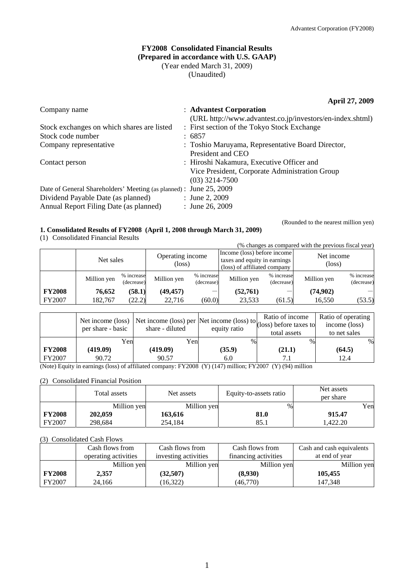## **FY2008 Consolidated Financial Results (Prepared in accordance with U.S. GAAP)**  (Year ended March 31, 2009) (Unaudited)

**April 27, 2009** 

| Company name                                                       | : Advantest Corporation                                   |
|--------------------------------------------------------------------|-----------------------------------------------------------|
|                                                                    | (URL http://www.advantest.co.jp/investors/en-index.shtml) |
| Stock exchanges on which shares are listed                         | : First section of the Tokyo Stock Exchange               |
| Stock code number                                                  | : 6857                                                    |
| Company representative                                             | : Toshio Maruyama, Representative Board Director,         |
|                                                                    | President and CEO                                         |
| Contact person                                                     | : Hiroshi Nakamura, Executive Officer and                 |
|                                                                    | Vice President, Corporate Administration Group            |
|                                                                    | $(03)$ 3214-7500                                          |
| Date of General Shareholders' Meeting (as planned) : June 25, 2009 |                                                           |
| Dividend Payable Date (as planned)                                 | : June 2, 2009                                            |
| Annual Report Filing Date (as planned)                             | : June 26, 2009                                           |

### **1. Consolidated Results of FY2008 (April 1, 2008 through March 31, 2009)**

(1) Consolidated Financial Results

(Rounded to the nearest million yen)

|               | (% changes as compared with the previous fiscal year) |                          |                            |                          |                                                                                             |                          |                               |                          |
|---------------|-------------------------------------------------------|--------------------------|----------------------------|--------------------------|---------------------------------------------------------------------------------------------|--------------------------|-------------------------------|--------------------------|
|               | Net sales                                             |                          | Operating income<br>(loss) |                          | Income (loss) before income<br>taxes and equity in earnings<br>(loss) of affiliated company |                          | Net income<br>$(\text{loss})$ |                          |
|               | Million yen                                           | % increase<br>(decrease) | Million yen                | % increase<br>(decrease) | Million yen                                                                                 | % increase<br>(decrease) | Million yen                   | % increase<br>(decrease) |
| <b>FY2008</b> | 76,652                                                | (58.1)                   | (49, 457)                  |                          | (52,761)                                                                                    |                          | (74,902)                      |                          |
| FY2007        | 182.767                                               | (22.2)                   | 22.716                     | (60.0)                   | 23,533                                                                                      | (61.5)                   | 16,550                        | (53.5)                   |

|               | Net income (loss)<br>per share - basic | Net income (loss) per Net income (loss) to $\begin{bmatrix} 1 & 1 & 1 \\ 0 & 0 & 0 \\ 0 & 0 & 0 \end{bmatrix}$ (loss) before taxes to<br>share - diluted | equity ratio | total assets | Ratio of operating<br>income (loss)<br>to net sales |
|---------------|----------------------------------------|----------------------------------------------------------------------------------------------------------------------------------------------------------|--------------|--------------|-----------------------------------------------------|
|               | Yen                                    | Yenl                                                                                                                                                     | $\%$         | $\%$         | %                                                   |
| <b>FY2008</b> | (419.09)                               | (419.09)                                                                                                                                                 | (35.9)       | (21.1)       | (64.5)                                              |
| FY2007        | 90.72                                  | 90.57                                                                                                                                                    | 6.0          | 7.1          | 12.4                                                |

(Note) Equity in earnings (loss) of affiliated company: FY2008 (Y) (147) million; FY2007 (Y) (94) million

(2) Consolidated Financial Position

|               | Total assets | Net assets  | Equity-to-assets ratio | Net assets<br>per share |
|---------------|--------------|-------------|------------------------|-------------------------|
|               | Million yen  | Million yen | $\%$                   | Yen                     |
| <b>FY2008</b> | 202,059      | 163.616     | 81.0                   | 915.47                  |
| <b>FY2007</b> | 298,684      | 254,184     | 85.1                   | 1.422.20                |

(3) Consolidated Cash Flows

|               | Cash flows from      | Cash flows from      | Cash flows from      | Cash and cash equivalents |
|---------------|----------------------|----------------------|----------------------|---------------------------|
|               | operating activities | investing activities | financing activities | at end of year            |
|               | Million yen          | Million yen          | Million yen          | Million yen               |
| <b>FY2008</b> | 2.357                | (32,507)             | (8,930)              | 105,455                   |
| FY2007        | 24,166               | (16,322)             | (46,770)             | 147.348                   |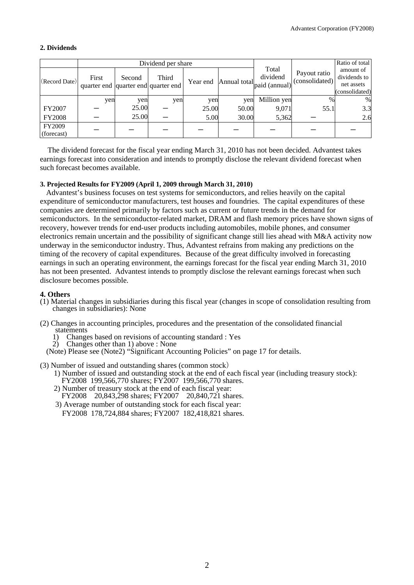## **2. Dividends**

|                      |                                              |        | Dividend per share |          |       |                                                                                      |                                | Ratio of total                                            |
|----------------------|----------------------------------------------|--------|--------------------|----------|-------|--------------------------------------------------------------------------------------|--------------------------------|-----------------------------------------------------------|
| (Record Date)        | First<br>quarter end quarter end quarter end | Second | Third              | Year end |       | Total<br>dividend<br>Annual total $\overline{ \text{paid}  }$ (annual) <sup> '</sup> | Payout ratio<br>(consolidated) | amount of<br>dividends to<br>net assets<br>(consolidated) |
|                      | yen                                          | yen    | yen                | yen      | yen   | Million yen                                                                          | $\frac{0}{0}$                  | %                                                         |
| <b>FY2007</b>        |                                              | 25.00  |                    | 25.00    | 50.00 | 9,071                                                                                | 55.1                           | 3.3                                                       |
| <b>FY2008</b>        |                                              | 25.00  |                    | 5.00     | 30.00 | 5,362                                                                                |                                | 2.6                                                       |
| FY2009<br>(forecast) |                                              |        |                    |          |       |                                                                                      |                                |                                                           |

The dividend forecast for the fiscal year ending March 31, 2010 has not been decided. Advantest takes earnings forecast into consideration and intends to promptly disclose the relevant dividend forecast when such forecast becomes available.

### **3. Projected Results for FY2009 (April 1, 2009 through March 31, 2010)**

Advantest's business focuses on test systems for semiconductors, and relies heavily on the capital expenditure of semiconductor manufacturers, test houses and foundries. The capital expenditures of these companies are determined primarily by factors such as current or future trends in the demand for semiconductors. In the semiconductor-related market, DRAM and flash memory prices have shown signs of recovery, however trends for end-user products including automobiles, mobile phones, and consumer electronics remain uncertain and the possibility of significant change still lies ahead with M&A activity now underway in the semiconductor industry. Thus, Advantest refrains from making any predictions on the timing of the recovery of capital expenditures. Because of the great difficulty involved in forecasting earnings in such an operating environment, the earnings forecast for the fiscal year ending March 31, 2010 has not been presented. Advantest intends to promptly disclose the relevant earnings forecast when such disclosure becomes possible.

### **4. Others**

- (1) Material changes in subsidiaries during this fiscal year (changes in scope of consolidation resulting from changes in subsidiaries): None
- (2) Changes in accounting principles, procedures and the presentation of the consolidated financial statements<br>1) Change
	- 1) Changes based on revisions of accounting standard : Yes
	- 2) Changes other than 1) above : None
	- (Note) Please see (Note2) "Significant Accounting Policies" on page 17 for details.
- (3) Number of issued and outstanding shares (common stock)
	- 1) Number of issued and outstanding stock at the end of each fiscal year (including treasury stock):
	- FY2008 199,566,770 shares; FY2007 199,566,770 shares.
	- 2) Number of treasury stock at the end of each fiscal year:
	- FY2008 20,843,298 shares; FY2007 20,840,721 shares.
	- 3) Average number of outstanding stock for each fiscal year: FY2008 178,724,884 shares; FY2007 182,418,821 shares.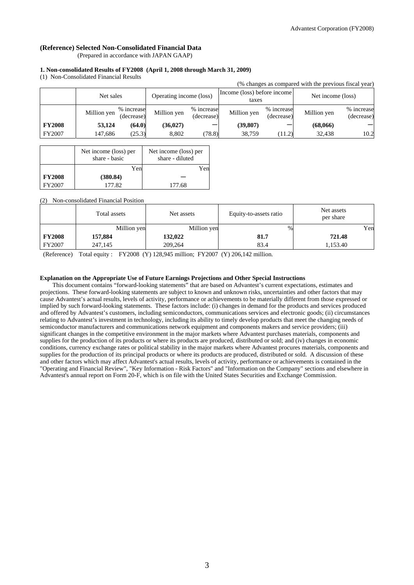## **(Reference) Selected Non-Consolidated Financial Data**

(Prepared in accordance with JAPAN GAAP)

#### **1. Non-consolidated Results of FY2008 (April 1, 2008 through March 31, 2009)**

(1) Non-Consolidated Financial Results

| (% changes as compared with the previous fiscal year) |             |                          |                         |                          |                                      |                          |                   |                          |
|-------------------------------------------------------|-------------|--------------------------|-------------------------|--------------------------|--------------------------------------|--------------------------|-------------------|--------------------------|
|                                                       | Net sales   |                          | Operating income (loss) |                          | Income (loss) before income<br>taxes |                          | Net income (loss) |                          |
|                                                       | Million yen | % increase<br>(decrease) | Million yen             | % increase<br>(decrease) | Million yen                          | % increase<br>(decrease) | Million yen       | % increase<br>(decrease) |
| <b>FY2008</b>                                         | 53,124      | (64.0)                   | (36, 027)               |                          | (39, 807)                            |                          | (68,066)          |                          |
| FY2007                                                | 147,686     | (25.3)                   | 8.802                   | (78.8)                   | 38.759                               | (11.2)                   | 32.438            | 10.2                     |

|               | Net income (loss) per<br>share - basic | Net income (loss) per<br>share - diluted |
|---------------|----------------------------------------|------------------------------------------|
|               | Yen                                    | Yen                                      |
| <b>FY2008</b> | (380.84)                               |                                          |
| FY2007        | 177.82                                 | 177.68                                   |

(2) Non-consolidated Financial Position

|               | Total assets | Net assets  | Equity-to-assets ratio | Net assets<br>per share |
|---------------|--------------|-------------|------------------------|-------------------------|
|               | Million yen  | Million yen | $\%$                   | Yen                     |
| <b>FY2008</b> | 157,884      | 132,022     | 81.7                   | 721.48                  |
| FY2007        | 247,145      | 209,264     | 83.4                   | 1,153.40                |

(Reference) Total equity : FY2008 (Y) 128,945 million; FY2007 (Y) 206,142 million.

#### **Explanation on the Appropriate Use of Future Earnings Projections and Other Special Instructions**

This document contains "forward-looking statements" that are based on Advantest's current expectations, estimates and projections. These forward-looking statements are subject to known and unknown risks, uncertainties and other factors that may cause Advantest's actual results, levels of activity, performance or achievements to be materially different from those expressed or implied by such forward-looking statements. These factors include: (i) changes in demand for the products and services produced and offered by Advantest's customers, including semiconductors, communications services and electronic goods; (ii) circumstances relating to Advantest's investment in technology, including its ability to timely develop products that meet the changing needs of semiconductor manufacturers and communications network equipment and components makers and service providers; (iii) significant changes in the competitive environment in the major markets where Advantest purchases materials, components and supplies for the production of its products or where its products are produced, distributed or sold; and (iv) changes in economic conditions, currency exchange rates or political stability in the major markets where Advantest procures materials, components and supplies for the production of its principal products or where its products are produced, distributed or sold. A discussion of these and other factors which may affect Advantest's actual results, levels of activity, performance or achievements is contained in the "Operating and Financial Review", "Key Information - Risk Factors" and "Information on the Company" sections and elsewhere in Advantest's annual report on Form 20-F, which is on file with the United States Securities and Exchange Commission.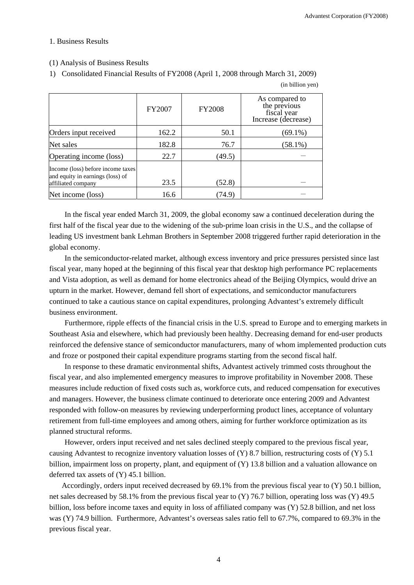### 1. Business Results

### (1) Analysis of Business Results

1) Consolidated Financial Results of FY2008 (April 1, 2008 through March 31, 2009)

|                                                                                             | FY2007 | <b>FY2008</b> | As compared to<br>the previous<br>fiscal year<br>Increase (decrease) |
|---------------------------------------------------------------------------------------------|--------|---------------|----------------------------------------------------------------------|
| Orders input received                                                                       | 162.2  | 50.1          | (69.1%)                                                              |
| Net sales                                                                                   | 182.8  | 76.7          | $(58.1\%)$                                                           |
| Operating income (loss)                                                                     | 22.7   | (49.5)        |                                                                      |
| Income (loss) before income taxes<br>and equity in earnings (loss) of<br>affiliated company | 23.5   | (52.8)        |                                                                      |
| Net income (loss)                                                                           | 16.6   | (74.9)        |                                                                      |

(in billion yen)

In the fiscal year ended March 31, 2009, the global economy saw a continued deceleration during the first half of the fiscal year due to the widening of the sub-prime loan crisis in the U.S., and the collapse of leading US investment bank Lehman Brothers in September 2008 triggered further rapid deterioration in the global economy.

In the semiconductor-related market, although excess inventory and price pressures persisted since last fiscal year, many hoped at the beginning of this fiscal year that desktop high performance PC replacements and Vista adoption, as well as demand for home electronics ahead of the Beijing Olympics, would drive an upturn in the market. However, demand fell short of expectations, and semiconductor manufacturers continued to take a cautious stance on capital expenditures, prolonging Advantest's extremely difficult business environment.

Furthermore, ripple effects of the financial crisis in the U.S. spread to Europe and to emerging markets in Southeast Asia and elsewhere, which had previously been healthy. Decreasing demand for end-user products reinforced the defensive stance of semiconductor manufacturers, many of whom implemented production cuts and froze or postponed their capital expenditure programs starting from the second fiscal half.

In response to these dramatic environmental shifts, Advantest actively trimmed costs throughout the fiscal year, and also implemented emergency measures to improve profitability in November 2008. These measures include reduction of fixed costs such as, workforce cuts, and reduced compensation for executives and managers. However, the business climate continued to deteriorate once entering 2009 and Advantest responded with follow-on measures by reviewing underperforming product lines, acceptance of voluntary retirement from full-time employees and among others, aiming for further workforce optimization as its planned structural reforms.

However, orders input received and net sales declined steeply compared to the previous fiscal year, causing Advantest to recognize inventory valuation losses of (Y) 8.7 billion, restructuring costs of (Y) 5.1 billion, impairment loss on property, plant, and equipment of (Y) 13.8 billion and a valuation allowance on deferred tax assets of (Y) 45.1 billion.

Accordingly, orders input received decreased by 69.1% from the previous fiscal year to (Y) 50.1 billion, net sales decreased by 58.1% from the previous fiscal year to (Y) 76.7 billion, operating loss was (Y) 49.5 billion, loss before income taxes and equity in loss of affiliated company was (Y) 52.8 billion, and net loss was (Y) 74.9 billion. Furthermore, Advantest's overseas sales ratio fell to 67.7%, compared to 69.3% in the previous fiscal year.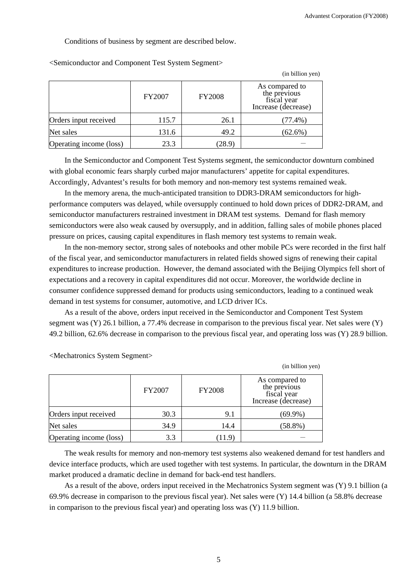Conditions of business by segment are described below.

|                         |        |               | (in billion yen)                                                     |
|-------------------------|--------|---------------|----------------------------------------------------------------------|
|                         | FY2007 | <b>FY2008</b> | As compared to<br>the previous<br>fiscal year<br>Increase (decrease) |
| Orders input received   | 115.7  | 26.1          | $(77.4\%)$                                                           |
| Net sales               | 131.6  | 49.2          | $(62.6\%)$                                                           |
| Operating income (loss) | 23.3   | (28.9)        |                                                                      |

<Semiconductor and Component Test System Segment>

In the Semiconductor and Component Test Systems segment, the semiconductor downturn combined with global economic fears sharply curbed major manufacturers' appetite for capital expenditures. Accordingly, Advantest's results for both memory and non-memory test systems remained weak.

In the memory arena, the much-anticipated transition to DDR3-DRAM semiconductors for highperformance computers was delayed, while oversupply continued to hold down prices of DDR2-DRAM, and semiconductor manufacturers restrained investment in DRAM test systems. Demand for flash memory semiconductors were also weak caused by oversupply, and in addition, falling sales of mobile phones placed pressure on prices, causing capital expenditures in flash memory test systems to remain weak.

In the non-memory sector, strong sales of notebooks and other mobile PCs were recorded in the first half of the fiscal year, and semiconductor manufacturers in related fields showed signs of renewing their capital expenditures to increase production. However, the demand associated with the Beijing Olympics fell short of expectations and a recovery in capital expenditures did not occur. Moreover, the worldwide decline in consumer confidence suppressed demand for products using semiconductors, leading to a continued weak demand in test systems for consumer, automotive, and LCD driver ICs.

As a result of the above, orders input received in the Semiconductor and Component Test System segment was (Y) 26.1 billion, a 77.4% decrease in comparison to the previous fiscal year. Net sales were (Y) 49.2 billion, 62.6% decrease in comparison to the previous fiscal year, and operating loss was (Y) 28.9 billion.

(in billion yen)

FY2007 FY2008 As compared to the previous fiscal year Increase (decrease) Orders input received  $30.3$  9.1 (69.9%) Net sales 14.4 (58.8%) Operating income (loss)  $\vert$  3.3 (11.9)

<Mechatronics System Segment>

The weak results for memory and non-memory test systems also weakened demand for test handlers and device interface products, which are used together with test systems. In particular, the downturn in the DRAM market produced a dramatic decline in demand for back-end test handlers.

As a result of the above, orders input received in the Mechatronics System segment was (Y) 9.1 billion (a 69.9% decrease in comparison to the previous fiscal year). Net sales were (Y) 14.4 billion (a 58.8% decrease in comparison to the previous fiscal year) and operating loss was (Y) 11.9 billion.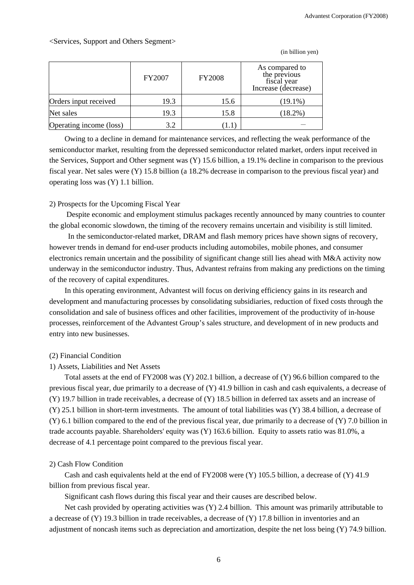## <Services, Support and Others Segment>

|                         | <b>FY2007</b> | <b>FY2008</b> | As compared to<br>the previous<br>fiscal year<br>Increase (decrease) |
|-------------------------|---------------|---------------|----------------------------------------------------------------------|
| Orders input received   | 19.3          | 15.6          | $(19.1\%)$                                                           |
| Net sales               | 19.3          | 15.8          | $(18.2\%)$                                                           |
| Operating income (loss) | 3.2           | -1.1          |                                                                      |

(in billion yen)

Owing to a decline in demand for maintenance services, and reflecting the weak performance of the semiconductor market, resulting from the depressed semiconductor related market, orders input received in the Services, Support and Other segment was (Y) 15.6 billion, a 19.1% decline in comparison to the previous fiscal year. Net sales were (Y) 15.8 billion (a 18.2% decrease in comparison to the previous fiscal year) and operating loss was (Y) 1.1 billion.

### 2) Prospects for the Upcoming Fiscal Year

Despite economic and employment stimulus packages recently announced by many countries to counter the global economic slowdown, the timing of the recovery remains uncertain and visibility is still limited.

In the semiconductor-related market, DRAM and flash memory prices have shown signs of recovery, however trends in demand for end-user products including automobiles, mobile phones, and consumer electronics remain uncertain and the possibility of significant change still lies ahead with M&A activity now underway in the semiconductor industry. Thus, Advantest refrains from making any predictions on the timing of the recovery of capital expenditures.

In this operating environment, Advantest will focus on deriving efficiency gains in its research and development and manufacturing processes by consolidating subsidiaries, reduction of fixed costs through the consolidation and sale of business offices and other facilities, improvement of the productivity of in-house processes, reinforcement of the Advantest Group's sales structure, and development of in new products and entry into new businesses.

## (2) Financial Condition

#### 1) Assets, Liabilities and Net Assets

Total assets at the end of FY2008 was (Y) 202.1 billion, a decrease of (Y) 96.6 billion compared to the previous fiscal year, due primarily to a decrease of (Y) 41.9 billion in cash and cash equivalents, a decrease of (Y) 19.7 billion in trade receivables, a decrease of (Y) 18.5 billion in deferred tax assets and an increase of (Y) 25.1 billion in short-term investments. The amount of total liabilities was (Y) 38.4 billion, a decrease of  $(Y)$  6.1 billion compared to the end of the previous fiscal year, due primarily to a decrease of  $(Y)$  7.0 billion in trade accounts payable. Shareholders' equity was (Y) 163.6 billion. Equity to assets ratio was 81.0%, a decrease of 4.1 percentage point compared to the previous fiscal year.

### 2) Cash Flow Condition

Cash and cash equivalents held at the end of FY2008 were (Y) 105.5 billion, a decrease of (Y) 41.9 billion from previous fiscal year.

Significant cash flows during this fiscal year and their causes are described below.

Net cash provided by operating activities was (Y) 2.4 billion. This amount was primarily attributable to a decrease of (Y) 19.3 billion in trade receivables, a decrease of (Y) 17.8 billion in inventories and an adjustment of noncash items such as depreciation and amortization, despite the net loss being (Y) 74.9 billion.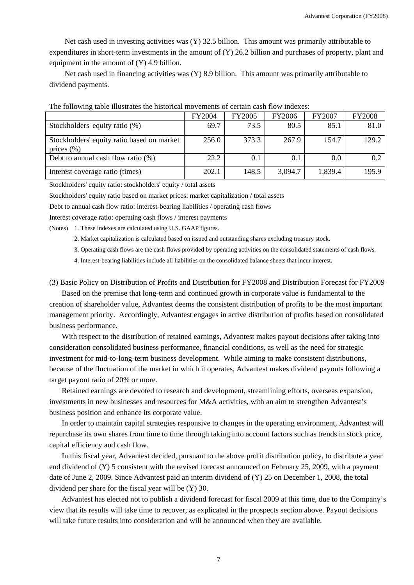Net cash used in investing activities was (Y) 32.5 billion. This amount was primarily attributable to expenditures in short-term investments in the amount of (Y) 26.2 billion and purchases of property, plant and equipment in the amount of (Y) 4.9 billion.

Net cash used in financing activities was (Y) 8.9 billion. This amount was primarily attributable to dividend payments.

|                                                              | <b>FY2004</b> | <b>FY2005</b> | <b>FY2006</b> | FY2007  | <b>FY2008</b> |
|--------------------------------------------------------------|---------------|---------------|---------------|---------|---------------|
| Stockholders' equity ratio (%)                               | 69.7          | 73.5          | 80.5          | 85.1    | 81.0          |
| Stockholders' equity ratio based on market<br>prices $(\% )$ | 256.0         | 373.3         | 267.9         | 154.7   | 129.2         |
| Debt to annual cash flow ratio $(\%)$                        | 22.2          | 0.1           | 0.1           | 0.0     | 0.2           |
| Interest coverage ratio (times)                              | 202.1         | 148.5         | 3,094.7       | 1,839.4 | 195.9         |

The following table illustrates the historical movements of certain cash flow indexes:

Stockholders' equity ratio: stockholders' equity / total assets

Stockholders' equity ratio based on market prices: market capitalization / total assets

Debt to annual cash flow ratio: interest-bearing liabilities / operating cash flows

Interest coverage ratio: operating cash flows / interest payments

(Notes) 1. These indexes are calculated using U.S. GAAP figures.

- 2. Market capitalization is calculated based on issued and outstanding shares excluding treasury stock.
- 3. Operating cash flows are the cash flows provided by operating activities on the consolidated statements of cash flows.
- 4. Interest-bearing liabilities include all liabilities on the consolidated balance sheets that incur interest.

(3) Basic Policy on Distribution of Profits and Distribution for FY2008 and Distribution Forecast for FY2009

Based on the premise that long-term and continued growth in corporate value is fundamental to the creation of shareholder value, Advantest deems the consistent distribution of profits to be the most important management priority. Accordingly, Advantest engages in active distribution of profits based on consolidated business performance.

With respect to the distribution of retained earnings, Advantest makes payout decisions after taking into consideration consolidated business performance, financial conditions, as well as the need for strategic investment for mid-to-long-term business development. While aiming to make consistent distributions, because of the fluctuation of the market in which it operates, Advantest makes dividend payouts following a target payout ratio of 20% or more.

Retained earnings are devoted to research and development, streamlining efforts, overseas expansion, investments in new businesses and resources for M&A activities, with an aim to strengthen Advantest's business position and enhance its corporate value.

In order to maintain capital strategies responsive to changes in the operating environment, Advantest will repurchase its own shares from time to time through taking into account factors such as trends in stock price, capital efficiency and cash flow.

In this fiscal year, Advantest decided, pursuant to the above profit distribution policy, to distribute a year end dividend of (Y) 5 consistent with the revised forecast announced on February 25, 2009, with a payment date of June 2, 2009. Since Advantest paid an interim dividend of (Y) 25 on December 1, 2008, the total dividend per share for the fiscal year will be (Y) 30.

Advantest has elected not to publish a dividend forecast for fiscal 2009 at this time, due to the Company's view that its results will take time to recover, as explicated in the prospects section above. Payout decisions will take future results into consideration and will be announced when they are available.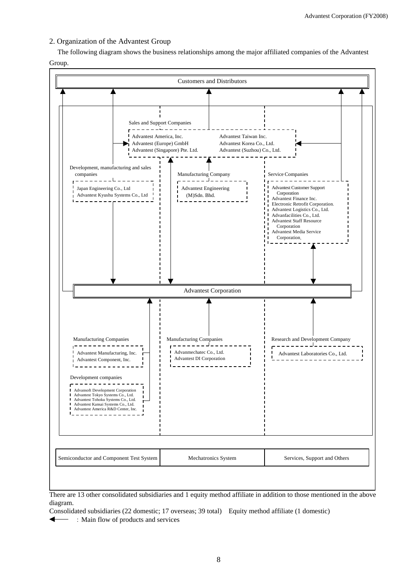## 2. Organization of the Advantest Group

The following diagram shows the business relationships among the major affiliated companies of the Advantest Group.



There are 13 other consolidated subsidiaries and 1 equity method affiliate in addition to those mentioned in the above diagram.

Consolidated subsidiaries (22 domestic; 17 overseas; 39 total) Equity method affiliate (1 domestic)

 $\overline{\phantom{a}}$ :Main flow of products and services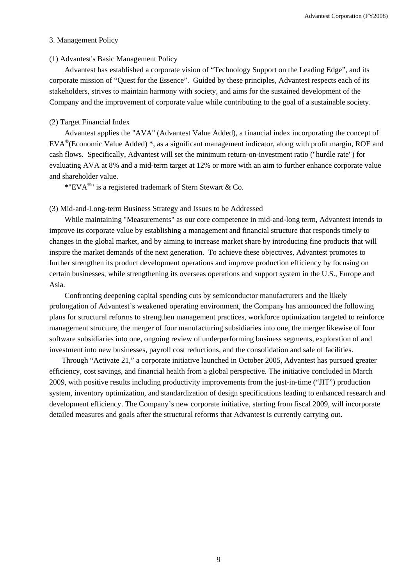#### 3. Management Policy

### (1) Advantest's Basic Management Policy

Advantest has established a corporate vision of "Technology Support on the Leading Edge", and its corporate mission of "Quest for the Essence". Guided by these principles, Advantest respects each of its stakeholders, strives to maintain harmony with society, and aims for the sustained development of the Company and the improvement of corporate value while contributing to the goal of a sustainable society.

### (2) Target Financial Index

Advantest applies the "AVA" (Advantest Value Added), a financial index incorporating the concept of EVA®(Economic Value Added) \*, as a significant management indicator, along with profit margin, ROE and cash flows. Specifically, Advantest will set the minimum return-on-investment ratio ("hurdle rate") for evaluating AVA at 8% and a mid-term target at 12% or more with an aim to further enhance corporate value and shareholder value.

\*"EVA $^{\circ}$ " is a registered trademark of Stern Stewart & Co.

### (3) Mid-and-Long-term Business Strategy and Issues to be Addressed

While maintaining "Measurements" as our core competence in mid-and-long term, Advantest intends to improve its corporate value by establishing a management and financial structure that responds timely to changes in the global market, and by aiming to increase market share by introducing fine products that will inspire the market demands of the next generation. To achieve these objectives, Advantest promotes to further strengthen its product development operations and improve production efficiency by focusing on certain businesses, while strengthening its overseas operations and support system in the U.S., Europe and Asia.

Confronting deepening capital spending cuts by semiconductor manufacturers and the likely prolongation of Advantest's weakened operating environment, the Company has announced the following plans for structural reforms to strengthen management practices, workforce optimization targeted to reinforce management structure, the merger of four manufacturing subsidiaries into one, the merger likewise of four software subsidiaries into one, ongoing review of underperforming business segments, exploration of and investment into new businesses, payroll cost reductions, and the consolidation and sale of facilities.

Through "Activate 21," a corporate initiative launched in October 2005, Advantest has pursued greater efficiency, cost savings, and financial health from a global perspective. The initiative concluded in March 2009, with positive results including productivity improvements from the just-in-time ("JIT") production system, inventory optimization, and standardization of design specifications leading to enhanced research and development efficiency. The Company's new corporate initiative, starting from fiscal 2009, will incorporate detailed measures and goals after the structural reforms that Advantest is currently carrying out.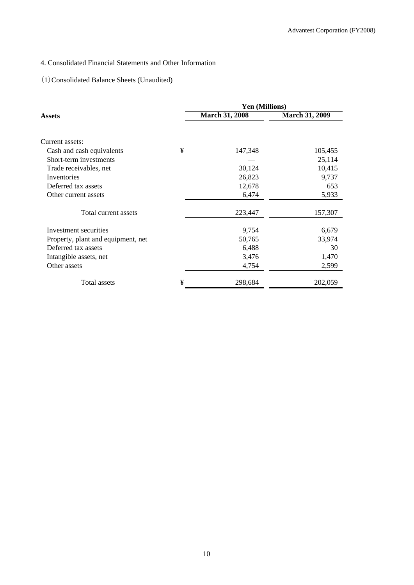# 4. Consolidated Financial Statements and Other Information

## (1)Consolidated Balance Sheets (Unaudited)

|                                    |   | Yen (Millions)        |                       |  |  |  |
|------------------------------------|---|-----------------------|-----------------------|--|--|--|
| Assets                             |   | <b>March 31, 2008</b> | <b>March 31, 2009</b> |  |  |  |
|                                    |   |                       |                       |  |  |  |
| Current assets:                    |   |                       |                       |  |  |  |
| Cash and cash equivalents          | ¥ | 147,348               | 105,455               |  |  |  |
| Short-term investments             |   |                       | 25,114                |  |  |  |
| Trade receivables, net             |   | 30,124                | 10,415                |  |  |  |
| Inventories                        |   | 26,823                | 9,737                 |  |  |  |
| Deferred tax assets                |   | 12,678                | 653                   |  |  |  |
| Other current assets               |   | 6,474                 | 5,933                 |  |  |  |
| Total current assets               |   | 223,447               | 157,307               |  |  |  |
| Investment securities              |   | 9,754                 | 6,679                 |  |  |  |
| Property, plant and equipment, net |   | 50,765                | 33,974                |  |  |  |
| Deferred tax assets                |   | 6,488                 | 30                    |  |  |  |
| Intangible assets, net             |   | 3,476                 | 1,470                 |  |  |  |
| Other assets                       |   | 4,754                 | 2,599                 |  |  |  |
| Total assets                       | ¥ | 298,684               | 202,059               |  |  |  |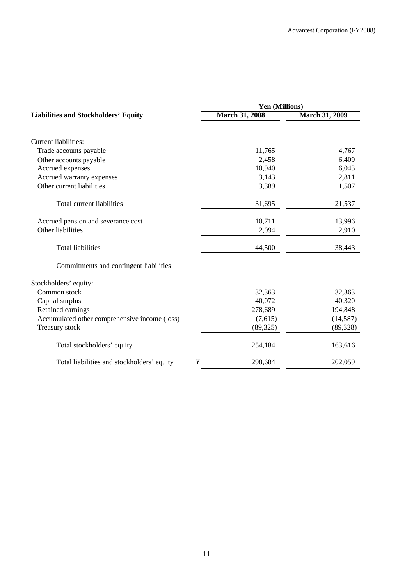|                                                 | Yen (Millions)        |                       |  |  |  |
|-------------------------------------------------|-----------------------|-----------------------|--|--|--|
| <b>Liabilities and Stockholders' Equity</b>     | <b>March 31, 2008</b> | <b>March 31, 2009</b> |  |  |  |
| Current liabilities:                            |                       |                       |  |  |  |
| Trade accounts payable                          | 11,765                | 4,767                 |  |  |  |
| Other accounts payable                          | 2,458                 | 6,409                 |  |  |  |
| Accrued expenses                                | 10,940                | 6,043                 |  |  |  |
| Accrued warranty expenses                       | 3,143                 | 2,811                 |  |  |  |
| Other current liabilities                       | 3,389                 | 1,507                 |  |  |  |
| Total current liabilities                       | 31,695                | 21,537                |  |  |  |
| Accrued pension and severance cost              | 10,711                | 13,996                |  |  |  |
| Other liabilities                               | 2,094                 | 2,910                 |  |  |  |
| <b>Total liabilities</b>                        | 44,500                | 38,443                |  |  |  |
| Commitments and contingent liabilities          |                       |                       |  |  |  |
| Stockholders' equity:                           |                       |                       |  |  |  |
| Common stock                                    | 32,363                | 32,363                |  |  |  |
| Capital surplus                                 | 40,072                | 40,320                |  |  |  |
| Retained earnings                               | 278,689               | 194,848               |  |  |  |
| Accumulated other comprehensive income (loss)   | (7,615)               | (14, 587)             |  |  |  |
| Treasury stock                                  | (89, 325)             | (89, 328)             |  |  |  |
| Total stockholders' equity                      | 254,184               | 163,616               |  |  |  |
| Total liabilities and stockholders' equity<br>¥ | 298,684               | 202,059               |  |  |  |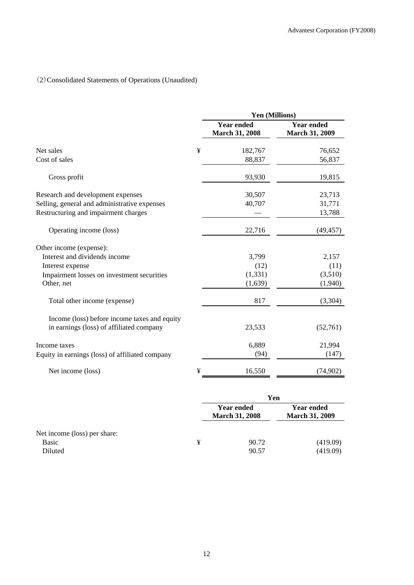# (2)Consolidated Statements of Operations (Unaudited)

|                                                 |   | Yen (Millions)                             |                                            |  |  |
|-------------------------------------------------|---|--------------------------------------------|--------------------------------------------|--|--|
|                                                 |   | <b>Year ended</b><br><b>March 31, 2008</b> | <b>Year ended</b><br><b>March 31, 2009</b> |  |  |
| Net sales                                       | ¥ | 182,767                                    | 76,652                                     |  |  |
| Cost of sales                                   |   | 88,837                                     | 56,837                                     |  |  |
| Gross profit                                    |   | 93,930                                     | 19,815                                     |  |  |
| Research and development expenses               |   | 30,507                                     | 23,713                                     |  |  |
| Selling, general and administrative expenses    |   | 40,707                                     | 31,771                                     |  |  |
| Restructuring and impairment charges            |   |                                            | 13,788                                     |  |  |
| Operating income (loss)                         |   | 22,716                                     | (49, 457)                                  |  |  |
| Other income (expense):                         |   |                                            |                                            |  |  |
| Interest and dividends income                   |   | 3,799                                      | 2,157                                      |  |  |
| Interest expense                                |   | (12)                                       | (11)                                       |  |  |
| Impairment losses on investment securities      |   | (1, 331)                                   | (3,510)                                    |  |  |
| Other, net                                      |   | (1,639)                                    | (1,940)                                    |  |  |
| Total other income (expense)                    |   | 817                                        | (3,304)                                    |  |  |
| Income (loss) before income taxes and equity    |   |                                            |                                            |  |  |
| in earnings (loss) of affiliated company        |   | 23,533                                     | (52,761)                                   |  |  |
| Income taxes                                    |   | 6,889                                      | 21,994                                     |  |  |
| Equity in earnings (loss) of affiliated company |   | (94)                                       | (147)                                      |  |  |
| Net income (loss)                               | ¥ | 16,550                                     | (74,902)                                   |  |  |

|                                                         |   | Yen                                        |                                            |  |
|---------------------------------------------------------|---|--------------------------------------------|--------------------------------------------|--|
|                                                         |   | <b>Year ended</b><br><b>March 31, 2008</b> | <b>Year ended</b><br><b>March 31, 2009</b> |  |
| Net income (loss) per share:<br><b>Basic</b><br>Diluted | ¥ | 90.72<br>90.57                             | (419.09)<br>(419.09)                       |  |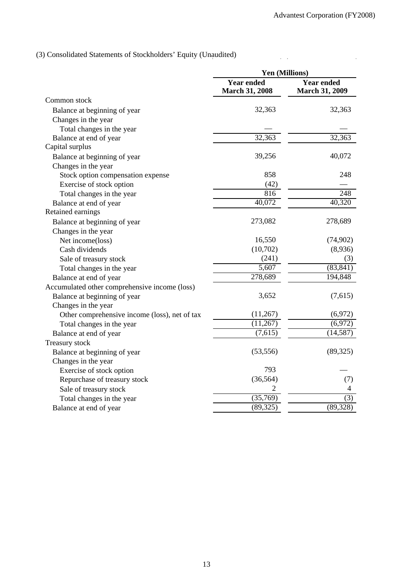$\ddot{\phantom{a}}$ 

 $\mathcal{L}(\mathcal{L})$  and

(3) Consolidated Statements of Stockholders' Equity (Unaudited)

|                                               | Yen (Millions)                             |                                            |  |  |
|-----------------------------------------------|--------------------------------------------|--------------------------------------------|--|--|
|                                               | <b>Year ended</b><br><b>March 31, 2008</b> | <b>Year ended</b><br><b>March 31, 2009</b> |  |  |
| Common stock                                  |                                            |                                            |  |  |
| Balance at beginning of year                  | 32,363                                     | 32,363                                     |  |  |
| Changes in the year                           |                                            |                                            |  |  |
| Total changes in the year                     |                                            |                                            |  |  |
| Balance at end of year                        | 32,363                                     | 32,363                                     |  |  |
| Capital surplus                               |                                            |                                            |  |  |
| Balance at beginning of year                  | 39,256                                     | 40,072                                     |  |  |
| Changes in the year                           |                                            |                                            |  |  |
| Stock option compensation expense             | 858                                        | 248                                        |  |  |
| Exercise of stock option                      | (42)                                       |                                            |  |  |
| Total changes in the year                     | 816                                        | 248                                        |  |  |
| Balance at end of year                        | 40,072                                     | 40,320                                     |  |  |
| Retained earnings                             |                                            |                                            |  |  |
| Balance at beginning of year                  | 273,082                                    | 278,689                                    |  |  |
| Changes in the year                           |                                            |                                            |  |  |
| Net income(loss)                              | 16,550                                     | (74,902)                                   |  |  |
| Cash dividends                                | (10,702)                                   | (8,936)                                    |  |  |
| Sale of treasury stock                        | (241)                                      | (3)                                        |  |  |
| Total changes in the year                     | $\overline{5,607}$                         | (83, 841)                                  |  |  |
| Balance at end of year                        | 278,689                                    | 194,848                                    |  |  |
| Accumulated other comprehensive income (loss) |                                            |                                            |  |  |
| Balance at beginning of year                  | 3,652                                      | (7,615)                                    |  |  |
| Changes in the year                           |                                            |                                            |  |  |
| Other comprehensive income (loss), net of tax | (11,267)                                   | (6,972)                                    |  |  |
| Total changes in the year                     | (11, 267)                                  | (6,972)                                    |  |  |
| Balance at end of year                        | (7,615)                                    | (14, 587)                                  |  |  |
| Treasury stock                                |                                            |                                            |  |  |
| Balance at beginning of year                  | (53, 556)                                  | (89, 325)                                  |  |  |
| Changes in the year                           |                                            |                                            |  |  |
| Exercise of stock option                      | 793                                        |                                            |  |  |
| Repurchase of treasury stock                  | (36, 564)                                  | (7)                                        |  |  |
| Sale of treasury stock                        | 2                                          | 4                                          |  |  |
| Total changes in the year                     | (35,769)                                   | (3)                                        |  |  |
| Balance at end of year                        | (89, 325)                                  | (89, 328)                                  |  |  |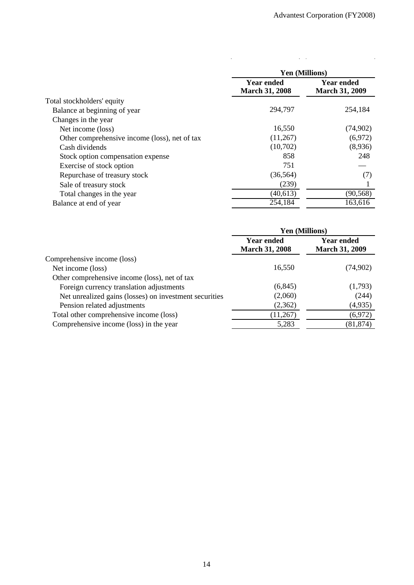$\ddot{\phantom{0}}$ 

 $\frac{1}{2}$  .

|                                               | <b>Yen (Millions)</b>                      |                                            |  |  |
|-----------------------------------------------|--------------------------------------------|--------------------------------------------|--|--|
|                                               | <b>Year ended</b><br><b>March 31, 2008</b> | <b>Year ended</b><br><b>March 31, 2009</b> |  |  |
| Total stockholders' equity                    |                                            |                                            |  |  |
| Balance at beginning of year                  | 294,797                                    | 254,184                                    |  |  |
| Changes in the year                           |                                            |                                            |  |  |
| Net income (loss)                             | 16,550                                     | (74,902)                                   |  |  |
| Other comprehensive income (loss), net of tax | (11,267)                                   | (6,972)                                    |  |  |
| Cash dividends                                | (10,702)                                   | (8,936)                                    |  |  |
| Stock option compensation expense             | 858                                        | 248                                        |  |  |
| Exercise of stock option                      | 751                                        |                                            |  |  |
| Repurchase of treasury stock                  | (36, 564)                                  | (7)                                        |  |  |
| Sale of treasury stock                        | (239)                                      |                                            |  |  |
| Total changes in the year                     | (40, 613)                                  | (90, 568)                                  |  |  |
| Balance at end of year                        | 254,184                                    | 163,616                                    |  |  |

 $\frac{1}{2}$ 

|                                                        | Yen (Millions)                             |                                            |  |  |
|--------------------------------------------------------|--------------------------------------------|--------------------------------------------|--|--|
|                                                        | <b>Year ended</b><br><b>March 31, 2008</b> | <b>Year ended</b><br><b>March 31, 2009</b> |  |  |
| Comprehensive income (loss)                            |                                            |                                            |  |  |
| Net income (loss)                                      | 16,550                                     | (74,902)                                   |  |  |
| Other comprehensive income (loss), net of tax          |                                            |                                            |  |  |
| Foreign currency translation adjustments               | (6, 845)                                   | (1,793)                                    |  |  |
| Net unrealized gains (losses) on investment securities | (2,060)                                    | (244)                                      |  |  |
| Pension related adjustments                            | (2,362)                                    | (4,935)                                    |  |  |
| Total other comprehensive income (loss)                | (11,267)                                   | (6,972)                                    |  |  |
| Comprehensive income (loss) in the year                | 5,283                                      | (81, 874)                                  |  |  |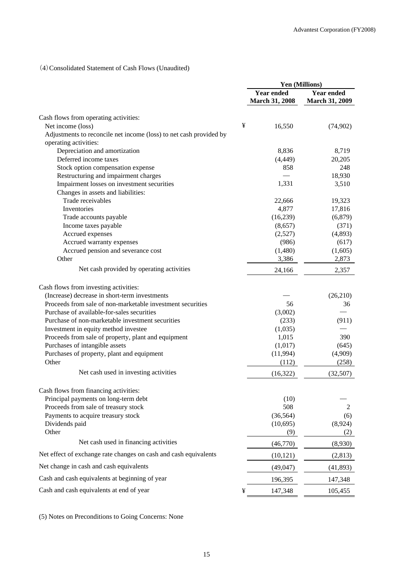# (4)Consolidated Statement of Cash Flows (Unaudited)

|                                                                    | Yen (Millions) |                       |                       |  |
|--------------------------------------------------------------------|----------------|-----------------------|-----------------------|--|
|                                                                    |                | <b>Year ended</b>     | <b>Year ended</b>     |  |
|                                                                    |                | <b>March 31, 2008</b> | <b>March 31, 2009</b> |  |
| Cash flows from operating activities:                              |                |                       |                       |  |
| Net income (loss)                                                  | ¥              | 16,550                | (74,902)              |  |
| Adjustments to reconcile net income (loss) to net cash provided by |                |                       |                       |  |
| operating activities:                                              |                |                       |                       |  |
| Depreciation and amortization                                      |                | 8,836                 | 8,719                 |  |
| Deferred income taxes                                              |                | (4, 449)              | 20,205                |  |
| Stock option compensation expense                                  |                | 858                   | 248                   |  |
| Restructuring and impairment charges                               |                |                       | 18,930                |  |
| Impairment losses on investment securities                         |                | 1,331                 | 3,510                 |  |
| Changes in assets and liabilities:                                 |                |                       |                       |  |
| Trade receivables                                                  |                | 22,666                | 19,323                |  |
| Inventories                                                        |                | 4,877                 | 17,816                |  |
| Trade accounts payable                                             |                | (16, 239)             | (6,879)               |  |
| Income taxes payable                                               |                | (8,657)               | (371)                 |  |
| Accrued expenses                                                   |                | (2,527)               | (4,893)               |  |
| Accrued warranty expenses                                          |                | (986)                 | (617)                 |  |
| Accrued pension and severance cost                                 |                | (1,480)               | (1,605)               |  |
| Other                                                              |                | 3,386                 | 2,873                 |  |
| Net cash provided by operating activities                          |                | 24,166                | 2,357                 |  |
|                                                                    |                |                       |                       |  |
| Cash flows from investing activities:                              |                |                       |                       |  |
| (Increase) decrease in short-term investments                      |                |                       | (26,210)              |  |
| Proceeds from sale of non-marketable investment securities         |                | 56                    | 36                    |  |
| Purchase of available-for-sales securities                         |                | (3,002)               |                       |  |
| Purchase of non-marketable investment securities                   |                | (233)                 | (911)                 |  |
| Investment in equity method investee                               |                | (1,035)               |                       |  |
| Proceeds from sale of property, plant and equipment                |                | 1,015                 | 390                   |  |
| Purchases of intangible assets                                     |                | (1,017)               | (645)                 |  |
| Purchases of property, plant and equipment                         |                | (11,994)              | (4,909)               |  |
| Other                                                              |                | (112)                 | (258)                 |  |
| Net cash used in investing activities                              |                | (16, 322)             | (32,507)              |  |
| Cash flows from financing activities:                              |                |                       |                       |  |
| Principal payments on long-term debt                               |                | (10)                  |                       |  |
| Proceeds from sale of treasury stock                               |                | 508                   | 2                     |  |
| Payments to acquire treasury stock                                 |                | (36, 564)             | (6)                   |  |
| Dividends paid                                                     |                | (10, 695)             | (8,924)               |  |
| Other                                                              |                | (9)                   | (2)                   |  |
| Net cash used in financing activities                              |                | (46,770)              | (8,930)               |  |
| Net effect of exchange rate changes on cash and cash equivalents   |                | (10, 121)             | (2, 813)              |  |
| Net change in cash and cash equivalents                            |                | (49, 047)             | (41, 893)             |  |
| Cash and cash equivalents at beginning of year                     |                | 196,395               | 147,348               |  |
| Cash and cash equivalents at end of year                           | ¥              | 147,348               | 105,455               |  |

(5) Notes on Preconditions to Going Concerns: None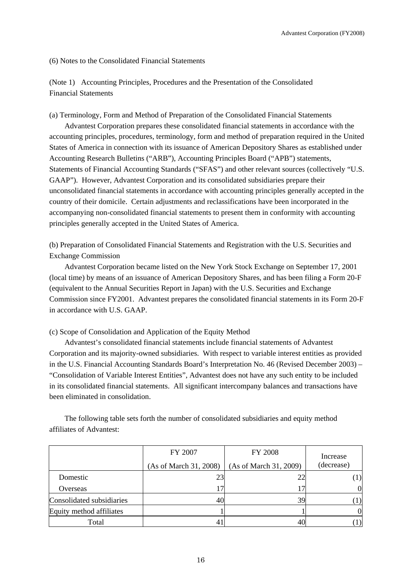(6) Notes to the Consolidated Financial Statements

(Note 1) Accounting Principles, Procedures and the Presentation of the Consolidated Financial Statements

(a) Terminology, Form and Method of Preparation of the Consolidated Financial Statements

Advantest Corporation prepares these consolidated financial statements in accordance with the accounting principles, procedures, terminology, form and method of preparation required in the United States of America in connection with its issuance of American Depository Shares as established under Accounting Research Bulletins ("ARB"), Accounting Principles Board ("APB") statements, Statements of Financial Accounting Standards ("SFAS") and other relevant sources (collectively "U.S. GAAP"). However, Advantest Corporation and its consolidated subsidiaries prepare their unconsolidated financial statements in accordance with accounting principles generally accepted in the country of their domicile. Certain adjustments and reclassifications have been incorporated in the accompanying non-consolidated financial statements to present them in conformity with accounting principles generally accepted in the United States of America.

(b) Preparation of Consolidated Financial Statements and Registration with the U.S. Securities and Exchange Commission

Advantest Corporation became listed on the New York Stock Exchange on September 17, 2001 (local time) by means of an issuance of American Depository Shares, and has been filing a Form 20-F (equivalent to the Annual Securities Report in Japan) with the U.S. Securities and Exchange Commission since FY2001. Advantest prepares the consolidated financial statements in its Form 20-F in accordance with U.S. GAAP.

## (c) Scope of Consolidation and Application of the Equity Method

Advantest's consolidated financial statements include financial statements of Advantest Corporation and its majority-owned subsidiaries. With respect to variable interest entities as provided in the U.S. Financial Accounting Standards Board's Interpretation No. 46 (Revised December 2003) – "Consolidation of Variable Interest Entities", Advantest does not have any such entity to be included in its consolidated financial statements. All significant intercompany balances and transactions have been eliminated in consolidation.

The following table sets forth the number of consolidated subsidiaries and equity method affiliates of Advantest:

|                           | FY 2007<br>(As of March 31, 2008) | <b>FY 2008</b><br>(As of March 31, 2009) | Increase<br>(decrease) |
|---------------------------|-----------------------------------|------------------------------------------|------------------------|
| Domestic                  | 23                                | 22                                       | $\left(1\right)$       |
| Overseas                  |                                   |                                          | $\Omega$               |
| Consolidated subsidiaries | 40                                | 39                                       |                        |
| Equity method affiliates  |                                   |                                          |                        |
| Total                     |                                   | 40                                       |                        |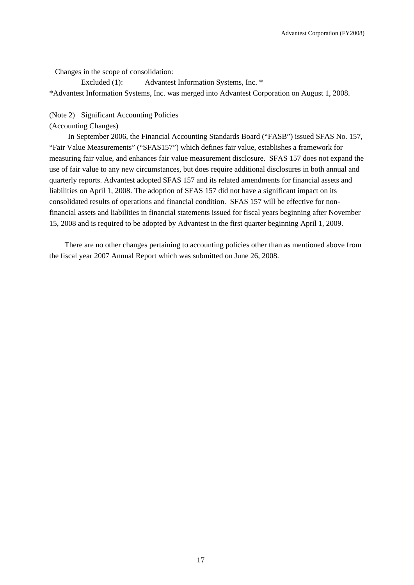Changes in the scope of consolidation:

Excluded (1): Advantest Information Systems, Inc. \* \*Advantest Information Systems, Inc. was merged into Advantest Corporation on August 1, 2008.

### (Note 2) Significant Accounting Policies

## (Accounting Changes)

In September 2006, the Financial Accounting Standards Board ("FASB") issued SFAS No. 157, "Fair Value Measurements" ("SFAS157") which defines fair value, establishes a framework for measuring fair value, and enhances fair value measurement disclosure. SFAS 157 does not expand the use of fair value to any new circumstances, but does require additional disclosures in both annual and quarterly reports. Advantest adopted SFAS 157 and its related amendments for financial assets and liabilities on April 1, 2008. The adoption of SFAS 157 did not have a significant impact on its consolidated results of operations and financial condition. SFAS 157 will be effective for nonfinancial assets and liabilities in financial statements issued for fiscal years beginning after November 15, 2008 and is required to be adopted by Advantest in the first quarter beginning April 1, 2009.

There are no other changes pertaining to accounting policies other than as mentioned above from the fiscal year 2007 Annual Report which was submitted on June 26, 2008.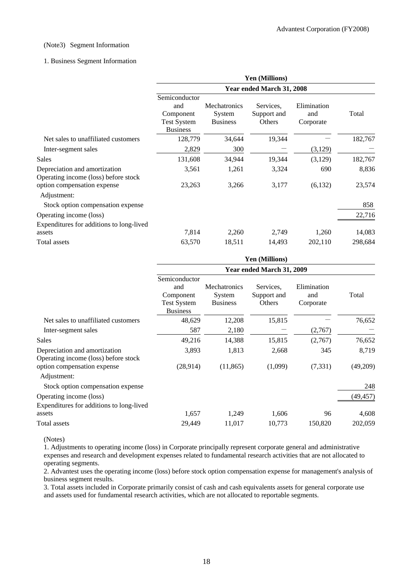### (Note3) Segment Information

### 1. Business Segment Information

|                                                                       | Yen (Millions)<br>Year ended March 31, 2008                                |                                                  |                                    |                                 |         |  |
|-----------------------------------------------------------------------|----------------------------------------------------------------------------|--------------------------------------------------|------------------------------------|---------------------------------|---------|--|
|                                                                       |                                                                            |                                                  |                                    |                                 |         |  |
|                                                                       | Semiconductor<br>and<br>Component<br><b>Test System</b><br><b>Business</b> | <b>Mechatronics</b><br>System<br><b>Business</b> | Services,<br>Support and<br>Others | Elimination<br>and<br>Corporate | Total   |  |
| Net sales to unaffiliated customers                                   | 128,779                                                                    | 34,644                                           | 19,344                             |                                 | 182,767 |  |
| Inter-segment sales                                                   | 2,829                                                                      | 300                                              |                                    | (3,129)                         |         |  |
| Sales                                                                 | 131,608                                                                    | 34,944                                           | 19,344                             | (3,129)                         | 182,767 |  |
| Depreciation and amortization<br>Operating income (loss) before stock | 3,561                                                                      | 1,261                                            | 3,324                              | 690                             | 8,836   |  |
| option compensation expense<br>Adjustment:                            | 23,263                                                                     | 3,266                                            | 3,177                              | (6,132)                         | 23,574  |  |
| Stock option compensation expense                                     |                                                                            |                                                  |                                    |                                 | 858     |  |
| Operating income (loss)                                               |                                                                            |                                                  |                                    |                                 | 22,716  |  |
| Expenditures for additions to long-lived                              |                                                                            |                                                  |                                    |                                 |         |  |
| assets                                                                | 7,814                                                                      | 2,260                                            | 2,749                              | 1,260                           | 14,083  |  |
| Total assets                                                          | 63,570                                                                     | 18,511                                           | 14,493                             | 202,110                         | 298,684 |  |

|                                                                       | Yen (Millions)                                                             |                                           |                                    |                                 |           |  |
|-----------------------------------------------------------------------|----------------------------------------------------------------------------|-------------------------------------------|------------------------------------|---------------------------------|-----------|--|
|                                                                       | Year ended March 31, 2009                                                  |                                           |                                    |                                 |           |  |
|                                                                       | Semiconductor<br>and<br>Component<br><b>Test System</b><br><b>Business</b> | Mechatronics<br>System<br><b>Business</b> | Services.<br>Support and<br>Others | Elimination<br>and<br>Corporate | Total     |  |
| Net sales to unaffiliated customers                                   | 48,629                                                                     | 12,208                                    | 15,815                             |                                 | 76,652    |  |
| Inter-segment sales                                                   | 587                                                                        | 2,180                                     |                                    | (2,767)                         |           |  |
| Sales                                                                 | 49,216                                                                     | 14,388                                    | 15,815                             | (2,767)                         | 76,652    |  |
| Depreciation and amortization<br>Operating income (loss) before stock | 3,893                                                                      | 1,813                                     | 2,668                              | 345                             | 8,719     |  |
| option compensation expense<br>Adjustment:                            | (28,914)                                                                   | (11, 865)                                 | (1,099)                            | (7, 331)                        | (49,209)  |  |
| Stock option compensation expense                                     |                                                                            |                                           |                                    |                                 | 248       |  |
| Operating income (loss)<br>Expenditures for additions to long-lived   |                                                                            |                                           |                                    |                                 | (49, 457) |  |
| assets                                                                | 1,657                                                                      | 1,249                                     | 1,606                              | 96                              | 4,608     |  |
| Total assets                                                          | 29,449                                                                     | 11,017                                    | 10,773                             | 150,820                         | 202,059   |  |

(Notes)

1. Adjustments to operating income (loss) in Corporate principally represent corporate general and administrative expenses and research and development expenses related to fundamental research activities that are not allocated to operating segments.

2. Advantest uses the operating income (loss) before stock option compensation expense for management's analysis of business segment results.

3. Total assets included in Corporate primarily consist of cash and cash equivalents assets for general corporate use and assets used for fundamental research activities, which are not allocated to reportable segments.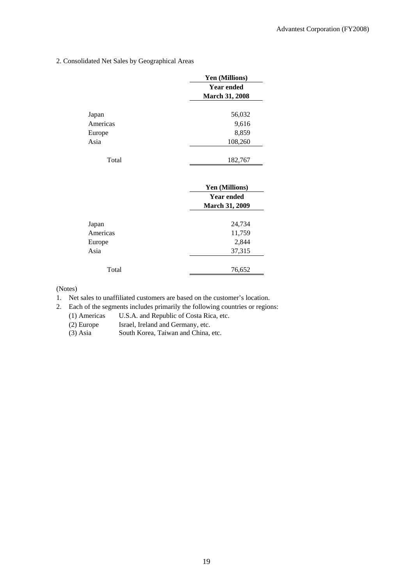2. Consolidated Net Sales by Geographical Areas

|          | Yen (Millions)        |  |
|----------|-----------------------|--|
|          | <b>Year ended</b>     |  |
|          | <b>March 31, 2008</b> |  |
| Japan    | 56,032                |  |
|          |                       |  |
| Americas | 9,616                 |  |
| Europe   | 8,859                 |  |
| Asia     | 108,260               |  |
| Total    | 182,767               |  |
|          | Yen (Millions)        |  |
|          | <b>Year ended</b>     |  |
|          | <b>March 31, 2009</b> |  |
| Japan    | 24,734                |  |
|          |                       |  |
| Americas | 11,759                |  |
| Europe   | 2,844                 |  |
| Asia     | 37,315                |  |

(Notes)

1. Net sales to unaffiliated customers are based on the customer's location.

2. Each of the segments includes primarily the following countries or regions:

Total 76,652

(1) Americas U.S.A. and Republic of Costa Rica, etc.

(2) Europe Israel, Ireland and Germany, etc.

(3) Asia South Korea, Taiwan and China, etc.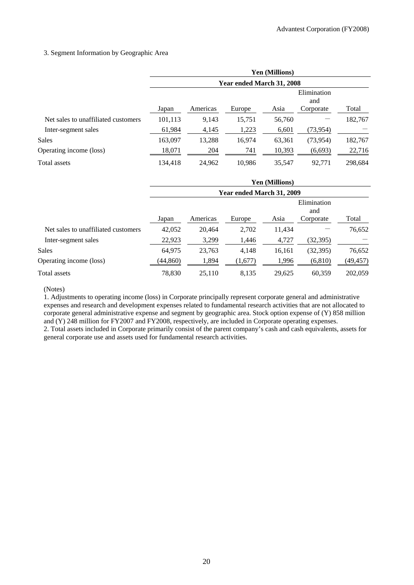### 3. Segment Information by Geographic Area

|                                     | Yen (Millions)            |          |        |        |                    |         |
|-------------------------------------|---------------------------|----------|--------|--------|--------------------|---------|
|                                     | Year ended March 31, 2008 |          |        |        |                    |         |
|                                     |                           |          |        |        | Elimination<br>and |         |
|                                     | Japan                     | Americas | Europe | Asia   | Corporate          | Total   |
| Net sales to unaffiliated customers | 101,113                   | 9,143    | 15,751 | 56,760 |                    | 182,767 |
| Inter-segment sales                 | 61,984                    | 4,145    | 1,223  | 6,601  | (73, 954)          |         |
| <b>Sales</b>                        | 163,097                   | 13,288   | 16.974 | 63,361 | (73, 954)          | 182,767 |
| Operating income (loss)             | 18,071                    | 204      | 741    | 10,393 | (6,693)            | 22,716  |
| Total assets                        | 134,418                   | 24,962   | 10,986 | 35,547 | 92.771             | 298,684 |

|                                     | Yen (Millions)            |          |         |        |                    |           |
|-------------------------------------|---------------------------|----------|---------|--------|--------------------|-----------|
|                                     | Year ended March 31, 2009 |          |         |        |                    |           |
|                                     |                           |          |         |        | Elimination<br>and |           |
|                                     | Japan                     | Americas | Europe  | Asia   | Corporate          | Total     |
| Net sales to unaffiliated customers | 42,052                    | 20.464   | 2,702   | 11.434 |                    | 76,652    |
| Inter-segment sales                 | 22,923                    | 3,299    | 1,446   | 4,727  | (32, 395)          |           |
| <b>Sales</b>                        | 64,975                    | 23,763   | 4,148   | 16,161 | (32, 395)          | 76,652    |
| Operating income (loss)             | (44, 860)                 | 1,894    | (1,677) | 1,996  | (6, 810)           | (49, 457) |
| Total assets                        | 78,830                    | 25,110   | 8,135   | 29,625 | 60,359             | 202,059   |

(Notes)

1. Adjustments to operating income (loss) in Corporate principally represent corporate general and administrative expenses and research and development expenses related to fundamental research activities that are not allocated to corporate general administrative expense and segment by geographic area. Stock option expense of (Y) 858 million and (Y) 248 million for FY2007 and FY2008, respectively, are included in Corporate operating expenses.

2. Total assets included in Corporate primarily consist of the parent company's cash and cash equivalents, assets for general corporate use and assets used for fundamental research activities.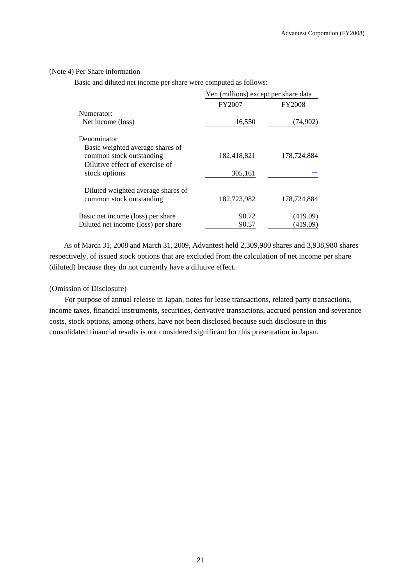### (Note 4) Per Share information

Basic and diluted net income per share were computed as follows:

|                                     | Yen (millions) except per share data |               |  |
|-------------------------------------|--------------------------------------|---------------|--|
|                                     | FY2007                               | <b>FY2008</b> |  |
| Numerator:                          |                                      |               |  |
| Net income (loss)                   | 16,550                               | (74, 902)     |  |
| Denominator                         |                                      |               |  |
| Basic weighted average shares of    |                                      |               |  |
| common stock outstanding            | 182,418,821                          | 178,724,884   |  |
| Dilutive effect of exercise of      |                                      |               |  |
| stock options                       | 305,161                              |               |  |
| Diluted weighted average shares of  |                                      |               |  |
| common stock outstanding            | 182,723,982                          | 178,724,884   |  |
| Basic net income (loss) per share   | 90.72                                | (419.09)      |  |
| Diluted net income (loss) per share | 90.57                                | (419.09)      |  |

As of March 31, 2008 and March 31, 2009, Advantest held 2,309,980 shares and 3,938,980 shares respectively, of issued stock options that are excluded from the calculation of net income per share (diluted) because they do not currently have a dilutive effect.

### (Omission of Disclosure)

For purpose of annual release in Japan, notes for lease transactions, related party transactions, income taxes, financial instruments, securities, derivative transactions, accrued pension and severance costs, stock options, among others, have not been disclosed because such disclosure in this consolidated financial results is not considered significant for this presentation in Japan.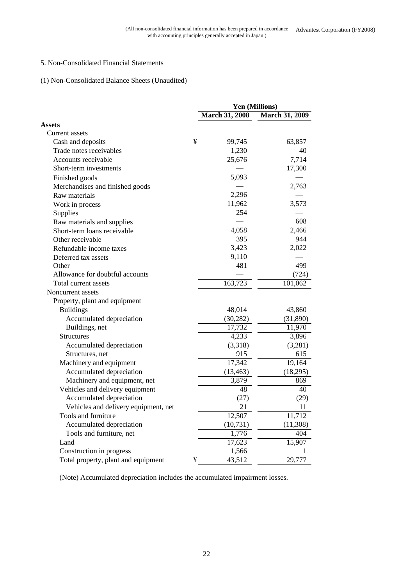## 5. Non-Consolidated Financial Statements

## (1) Non-Consolidated Balance Sheets (Unaudited)

|                                      | Yen (Millions) |                       |                       |
|--------------------------------------|----------------|-----------------------|-----------------------|
|                                      |                | <b>March 31, 2008</b> | <b>March 31, 2009</b> |
| <b>Assets</b>                        |                |                       |                       |
| Current assets                       |                |                       |                       |
| Cash and deposits                    | ¥              | 99,745                | 63,857                |
| Trade notes receivables              |                | 1,230                 | 40                    |
| Accounts receivable                  |                | 25,676                | 7,714                 |
| Short-term investments               |                |                       | 17,300                |
| Finished goods                       |                | 5,093                 |                       |
| Merchandises and finished goods      |                |                       | 2,763                 |
| Raw materials                        |                | 2,296                 |                       |
| Work in process                      |                | 11,962                | 3,573                 |
| Supplies                             |                | 254                   |                       |
| Raw materials and supplies           |                |                       | 608                   |
| Short-term loans receivable          |                | 4,058                 | 2,466                 |
| Other receivable                     |                | 395                   | 944                   |
| Refundable income taxes              |                | 3,423                 | 2,022                 |
| Deferred tax assets                  |                | 9,110                 |                       |
| Other                                |                | 481                   | 499                   |
| Allowance for doubtful accounts      |                |                       | (724)                 |
| Total current assets                 |                | 163,723               | 101,062               |
| Noncurrent assets                    |                |                       |                       |
| Property, plant and equipment        |                |                       |                       |
| <b>Buildings</b>                     |                | 48,014                | 43,860                |
| Accumulated depreciation             |                | (30, 282)             | (31,890)              |
| Buildings, net                       |                | 17,732                | 11,970                |
| <b>Structures</b>                    |                | 4,233                 | 3,896                 |
| Accumulated depreciation             |                | (3,318)               | (3,281)               |
| Structures, net                      |                | 915                   | 615                   |
| Machinery and equipment              |                | 17,342                | 19,164                |
| Accumulated depreciation             |                | (13, 463)             | (18, 295)             |
| Machinery and equipment, net         |                | 3,879                 | 869                   |
| Vehicles and delivery equipment      |                | 48                    | 40                    |
| Accumulated depreciation             |                | (27)                  | (29)                  |
| Vehicles and delivery equipment, net |                | 21                    | 11                    |
| Tools and furniture                  |                | 12,507                | 11,712                |
| Accumulated depreciation             |                | (10, 731)             | (11, 308)             |
| Tools and furniture, net             |                | 1,776                 | 404                   |
| Land                                 |                | 17,623                | 15,907                |
| Construction in progress             |                | 1,566                 | 1                     |
| Total property, plant and equipment  | ¥              | 43,512                | 29,777                |

(Note) Accumulated depreciation includes the accumulated impairment losses.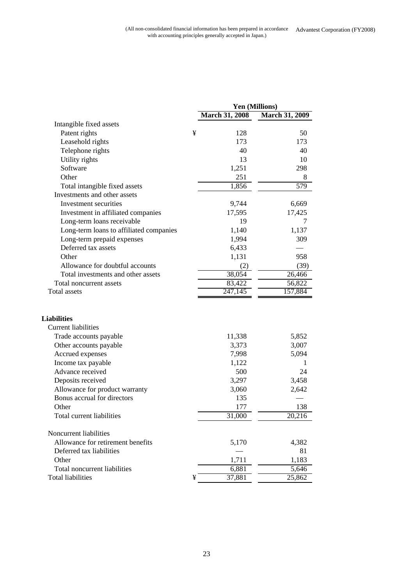|                                         | Yen (Millions) |                       |                       |
|-----------------------------------------|----------------|-----------------------|-----------------------|
|                                         |                | <b>March 31, 2008</b> | <b>March 31, 2009</b> |
| Intangible fixed assets                 |                |                       |                       |
| Patent rights                           | ¥              | 128                   | 50                    |
| Leasehold rights                        |                | 173                   | 173                   |
| Telephone rights                        |                | 40                    | 40                    |
| Utility rights                          |                | 13                    | 10                    |
| Software                                |                | 1,251                 | 298                   |
| Other                                   |                | 251                   | 8                     |
| Total intangible fixed assets           |                | 1,856                 | $\overline{579}$      |
| Investments and other assets            |                |                       |                       |
| Investment securities                   |                | 9,744                 | 6,669                 |
| Investment in affiliated companies      |                | 17,595                | 17,425                |
| Long-term loans receivable              |                | 19                    | 7                     |
| Long-term loans to affiliated companies |                | 1,140                 | 1,137                 |
| Long-term prepaid expenses              |                | 1,994                 | 309                   |
| Deferred tax assets                     |                | 6,433                 |                       |
| Other                                   |                | 1,131                 | 958                   |
| Allowance for doubtful accounts         |                | (2)                   | (39)                  |
| Total investments and other assets      |                | 38,054                | 26,466                |
| Total noncurrent assets                 |                | 83,422                | 56,822                |
| Total assets                            |                | 247,145               | 157,884               |
| <b>Liabilities</b>                      |                |                       |                       |
| <b>Current liabilities</b>              |                |                       |                       |
| Trade accounts payable                  |                | 11,338                | 5,852                 |
| Other accounts payable                  |                | 3,373                 | 3,007                 |
| Accrued expenses                        |                | 7,998                 | 5,094                 |
| Income tax payable                      |                | 1,122                 | 1                     |
| Advance received                        |                | 500                   | 24                    |
| Deposits received                       |                | 3,297                 | 3,458                 |
| Allowance for product warranty          |                | 3,060                 | 2,642                 |
| Bonus accrual for directors             |                | 135                   |                       |
| Other                                   |                | 177                   | 138                   |
| Total current liabilities               |                | 31,000                | 20,216                |
| Noncurrent liabilities                  |                |                       |                       |
| Allowance for retirement benefits       |                | 5,170                 | 4,382                 |
| Deferred tax liabilities                |                |                       | 81                    |
| Other                                   |                | 1,711                 | 1,183                 |
| Total noncurrent liabilities            |                | 6,881                 | 5,646                 |
| <b>Total liabilities</b>                | ¥              | 37,881                | 25,862                |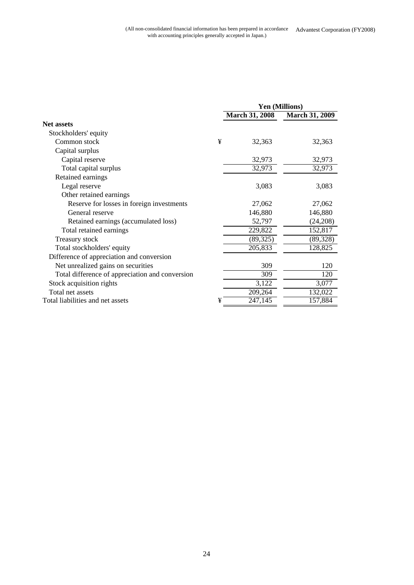|                                                 | Yen (Millions) |                       |                       |
|-------------------------------------------------|----------------|-----------------------|-----------------------|
|                                                 |                | <b>March 31, 2008</b> | <b>March 31, 2009</b> |
| Net assets                                      |                |                       |                       |
| Stockholders' equity                            |                |                       |                       |
| Common stock                                    | ¥              | 32,363                | 32,363                |
| Capital surplus                                 |                |                       |                       |
| Capital reserve                                 |                | 32,973                | 32,973                |
| Total capital surplus                           |                | 32,973                | 32,973                |
| Retained earnings                               |                |                       |                       |
| Legal reserve                                   |                | 3,083                 | 3,083                 |
| Other retained earnings                         |                |                       |                       |
| Reserve for losses in foreign investments       |                | 27,062                | 27,062                |
| General reserve                                 |                | 146,880               | 146,880               |
| Retained earnings (accumulated loss)            |                | 52,797                | (24,208)              |
| Total retained earnings                         |                | 229,822               | 152,817               |
| <b>Treasury stock</b>                           |                | (89, 325)             | (89, 328)             |
| Total stockholders' equity                      |                | 205,833               | 128,825               |
| Difference of appreciation and conversion       |                |                       |                       |
| Net unrealized gains on securities              |                | 309                   | 120                   |
| Total difference of appreciation and conversion |                | 309                   | 120                   |
| Stock acquisition rights                        |                | 3,122                 | 3,077                 |
| Total net assets                                |                | 209,264               | 132,022               |
| Total liabilities and net assets                | ¥              | $\overline{247,145}$  | 157,884               |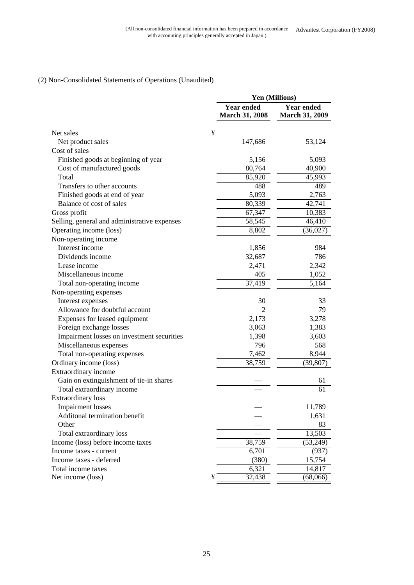## (2) Non-Consolidated Statements of Operations (Unaudited)

|                                              | <b>Yen (Millions)</b>                      |                                            |
|----------------------------------------------|--------------------------------------------|--------------------------------------------|
|                                              | <b>Year ended</b><br><b>March 31, 2008</b> | <b>Year ended</b><br><b>March 31, 2009</b> |
| Net sales                                    | ¥                                          |                                            |
| Net product sales                            | 147,686                                    | 53,124                                     |
| Cost of sales                                |                                            |                                            |
| Finished goods at beginning of year          | 5,156                                      | 5,093                                      |
| Cost of manufactured goods                   | 80,764                                     | 40,900                                     |
| Total                                        | 85,920                                     | 45,993                                     |
| Transfers to other accounts                  | 488                                        | 489                                        |
| Finished goods at end of year                | 5,093                                      | 2,763                                      |
| Balance of cost of sales                     | 80,339                                     | 42,741                                     |
| Gross profit                                 | 67,347                                     | 10,383                                     |
| Selling, general and administrative expenses | 58,545                                     | 46,410                                     |
| Operating income (loss)                      | 8,802                                      | (36,027)                                   |
| Non-operating income                         |                                            |                                            |
| Interest income                              | 1,856                                      | 984                                        |
| Dividends income                             | 32,687                                     | 786                                        |
| Lease income                                 | 2,471                                      | 2,342                                      |
| Miscellaneous income                         | 405                                        | 1,052                                      |
| Total non-operating income                   | 37,419                                     | 5,164                                      |
| Non-operating expenses                       |                                            |                                            |
| Interest expenses                            | 30                                         | 33                                         |
| Allowance for doubtful account               | $\overline{c}$                             | 79                                         |
| Expenses for leased equipment                | 2,173                                      | 3,278                                      |
| Foreign exchange losses                      | 3,063                                      | 1,383                                      |
| Impairment losses on investment securities   | 1,398                                      | 3,603                                      |
| Miscellaneous expenses                       | 796                                        | 568                                        |
| Total non-operating expenses                 | 7,462                                      | 8,944                                      |
| Ordinary income (loss)                       | 38,759                                     | (39, 807)                                  |
| Extraordinary income                         |                                            |                                            |
| Gain on extinguishment of tie-in shares      |                                            | 61                                         |
| Total extraordinary income                   |                                            | 61                                         |
| <b>Extraordinary loss</b>                    |                                            |                                            |
| <b>Impairment</b> losses                     |                                            | 11,789                                     |
| Additonal termination benefit                |                                            | 1,631                                      |
| Other                                        |                                            | 83                                         |
| Total extraordinary loss                     |                                            | 13,503                                     |
| Income (loss) before income taxes            | 38,759                                     | (53,249)                                   |
| Income taxes - current                       | 6,701                                      | (937)                                      |
| Income taxes - deferred                      | (380)                                      | 15,754                                     |
| Total income taxes                           | 6,321                                      | 14,817                                     |
| Net income (loss)                            | 32,438<br>¥                                | (68,066)                                   |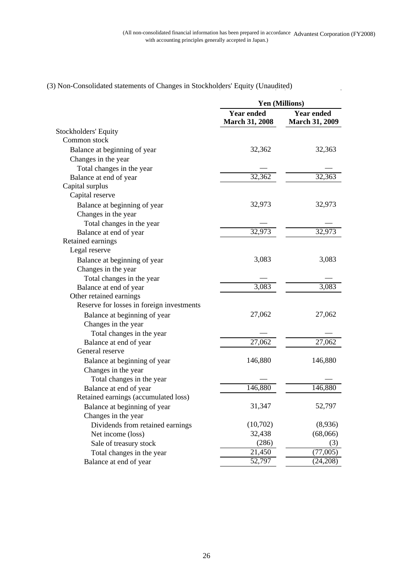$\ddot{\phantom{a}}$ 

|                                           | <b>Yen (Millions)</b>                      |                                            |
|-------------------------------------------|--------------------------------------------|--------------------------------------------|
|                                           | <b>Year ended</b><br><b>March 31, 2008</b> | <b>Year ended</b><br><b>March 31, 2009</b> |
| Stockholders' Equity                      |                                            |                                            |
| Common stock                              |                                            |                                            |
| Balance at beginning of year              | 32,362                                     | 32,363                                     |
| Changes in the year                       |                                            |                                            |
| Total changes in the year                 |                                            |                                            |
| Balance at end of year                    | 32,362                                     | 32,363                                     |
| Capital surplus                           |                                            |                                            |
| Capital reserve                           |                                            |                                            |
| Balance at beginning of year              | 32,973                                     | 32,973                                     |
| Changes in the year                       |                                            |                                            |
| Total changes in the year                 |                                            |                                            |
| Balance at end of year                    | 32,973                                     | 32,973                                     |
| Retained earnings                         |                                            |                                            |
| Legal reserve                             |                                            |                                            |
| Balance at beginning of year              | 3,083                                      | 3,083                                      |
| Changes in the year                       |                                            |                                            |
| Total changes in the year                 |                                            |                                            |
| Balance at end of year                    | 3,083                                      | 3,083                                      |
| Other retained earnings                   |                                            |                                            |
| Reserve for losses in foreign investments |                                            |                                            |
| Balance at beginning of year              | 27,062                                     | 27,062                                     |
| Changes in the year                       |                                            |                                            |
| Total changes in the year                 |                                            |                                            |
| Balance at end of year                    | 27,062                                     | 27,062                                     |
| General reserve                           |                                            |                                            |
| Balance at beginning of year              | 146,880                                    | 146,880                                    |
| Changes in the year                       |                                            |                                            |
| Total changes in the year                 |                                            |                                            |
| Balance at end of year                    | 146,880                                    | 146,880                                    |
| Retained earnings (accumulated loss)      |                                            |                                            |
| Balance at beginning of year              | 31,347                                     | 52,797                                     |
| Changes in the year                       |                                            |                                            |
| Dividends from retained earnings          | (10,702)                                   | (8,936)                                    |
| Net income (loss)                         | 32,438                                     | (68,066)                                   |
| Sale of treasury stock                    | (286)                                      | (3)                                        |
| Total changes in the year                 | $\overline{2}1,450$                        | (77,005)                                   |
| Balance at end of year                    | 52,797                                     | (24,208)                                   |

# (3) Non-Consolidated statements of Changes in Stockholders' Equity (Unaudited)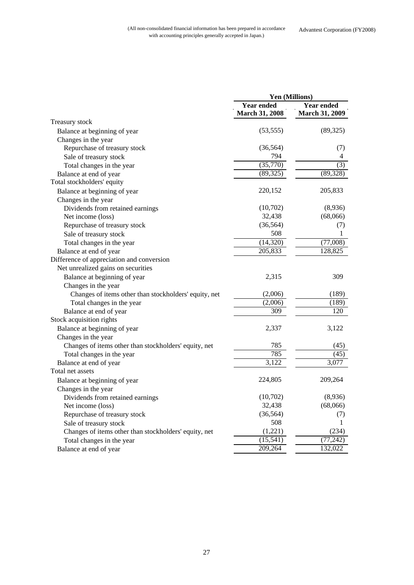|                                                       | <b>Yen (Millions)</b>                      |                                            |
|-------------------------------------------------------|--------------------------------------------|--------------------------------------------|
|                                                       | <b>Year ended</b><br><b>March 31, 2008</b> | <b>Year ended</b><br><b>March 31, 2009</b> |
| Treasury stock                                        |                                            |                                            |
| Balance at beginning of year                          | (53, 555)                                  | (89, 325)                                  |
| Changes in the year                                   |                                            |                                            |
| Repurchase of treasury stock                          | (36, 564)                                  | (7)                                        |
| Sale of treasury stock                                | 794                                        | 4                                          |
| Total changes in the year                             | (35,770)                                   | $\overline{(3)}$                           |
| Balance at end of year                                | (89, 325)                                  | (89, 328)                                  |
| Total stockholders' equity                            |                                            |                                            |
| Balance at beginning of year                          | 220,152                                    | 205,833                                    |
| Changes in the year                                   |                                            |                                            |
| Dividends from retained earnings                      | (10,702)                                   | (8,936)                                    |
| Net income (loss)                                     | 32,438                                     | (68,066)                                   |
| Repurchase of treasury stock                          | (36, 564)                                  | (7)                                        |
| Sale of treasury stock                                | 508                                        | 1                                          |
| Total changes in the year                             | (14, 320)                                  | (77,008)                                   |
| Balance at end of year                                | 205,833                                    | 128,825                                    |
| Difference of appreciation and conversion             |                                            |                                            |
| Net unrealized gains on securities                    |                                            |                                            |
| Balance at beginning of year                          | 2,315                                      | 309                                        |
| Changes in the year                                   |                                            |                                            |
| Changes of items other than stockholders' equity, net | (2,006)                                    | (189)                                      |
| Total changes in the year                             | (2,006)                                    | (189)                                      |
| Balance at end of year                                | 309                                        | 120                                        |
| Stock acquisition rights                              |                                            |                                            |
| Balance at beginning of year                          | 2,337                                      | 3,122                                      |
| Changes in the year                                   |                                            |                                            |
| Changes of items other than stockholders' equity, net | 785                                        | (45)                                       |
| Total changes in the year                             | 785                                        | (45)                                       |
| Balance at end of year                                | 3,122                                      | 3,077                                      |
| Total net assets                                      |                                            |                                            |
| Balance at beginning of year                          | 224,805                                    | 209,264                                    |
| Changes in the year                                   |                                            |                                            |
| Dividends from retained earnings                      | (10,702)                                   | (8,936)                                    |
| Net income (loss)                                     | 32,438                                     | (68,066)                                   |
| Repurchase of treasury stock                          | (36, 564)                                  | (7)                                        |
| Sale of treasury stock                                | 508                                        | 1                                          |
| Changes of items other than stockholders' equity, net | (1,221)                                    | (234)                                      |
| Total changes in the year                             | (15, 541)                                  | (77, 242)                                  |
| Balance at end of year                                | 209,264                                    | 132,022                                    |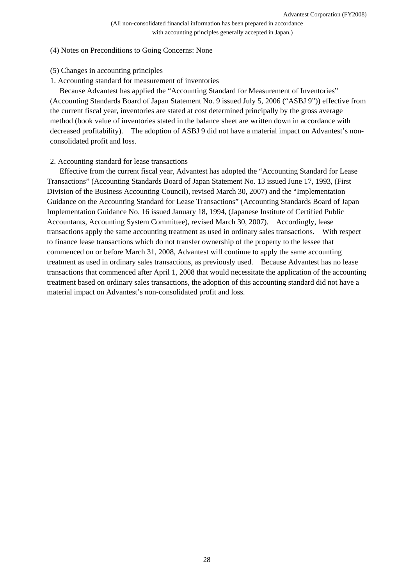### (4) Notes on Preconditions to Going Concerns: None

- (5) Changes in accounting principles
- 1. Accounting standard for measurement of inventories

Because Advantest has applied the "Accounting Standard for Measurement of Inventories" (Accounting Standards Board of Japan Statement No. 9 issued July 5, 2006 ("ASBJ 9")) effective from the current fiscal year, inventories are stated at cost determined principally by the gross average method (book value of inventories stated in the balance sheet are written down in accordance with decreased profitability). The adoption of ASBJ 9 did not have a material impact on Advantest's nonconsolidated profit and loss.

### 2. Accounting standard for lease transactions

Effective from the current fiscal year, Advantest has adopted the "Accounting Standard for Lease Transactions" (Accounting Standards Board of Japan Statement No. 13 issued June 17, 1993, (First Division of the Business Accounting Council), revised March 30, 2007) and the "Implementation Guidance on the Accounting Standard for Lease Transactions" (Accounting Standards Board of Japan Implementation Guidance No. 16 issued January 18, 1994, (Japanese Institute of Certified Public Accountants, Accounting System Committee), revised March 30, 2007). Accordingly, lease transactions apply the same accounting treatment as used in ordinary sales transactions. With respect to finance lease transactions which do not transfer ownership of the property to the lessee that commenced on or before March 31, 2008, Advantest will continue to apply the same accounting treatment as used in ordinary sales transactions, as previously used. Because Advantest has no lease transactions that commenced after April 1, 2008 that would necessitate the application of the accounting treatment based on ordinary sales transactions, the adoption of this accounting standard did not have a material impact on Advantest's non-consolidated profit and loss.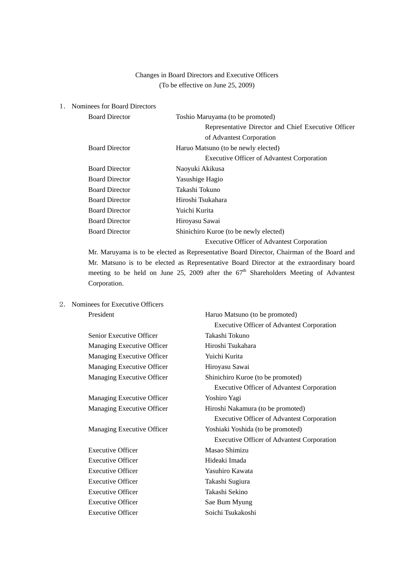## Changes in Board Directors and Executive Officers (To be effective on June 25, 2009)

### 1. Nominees for Board Directors

| <b>Board Director</b> | Toshio Maruyama (to be promoted)                    |
|-----------------------|-----------------------------------------------------|
|                       | Representative Director and Chief Executive Officer |
|                       | of Advantest Corporation                            |
| <b>Board Director</b> | Haruo Matsuno (to be newly elected)                 |
|                       | <b>Executive Officer of Advantest Corporation</b>   |
| <b>Board Director</b> | Naoyuki Akikusa                                     |
| <b>Board Director</b> | Yasushige Hagio                                     |
| <b>Board Director</b> | Takashi Tokuno                                      |
| <b>Board Director</b> | Hiroshi Tsukahara                                   |
| <b>Board Director</b> | Yuichi Kurita                                       |
| <b>Board Director</b> | Hiroyasu Sawai                                      |
| <b>Board Director</b> | Shinichiro Kuroe (to be newly elected)              |
|                       | <b>Executive Officer of Advantest Corporation</b>   |

Mr. Maruyama is to be elected as Representative Board Director, Chairman of the Board and Mr. Matsuno is to be elected as Representative Board Director at the extraordinary board meeting to be held on June 25, 2009 after the  $67<sup>th</sup>$  Shareholders Meeting of Advantest Corporation.

## 2. Nominees for Executive Officers

| President                  | Haruo Matsuno (to be promoted)                    |
|----------------------------|---------------------------------------------------|
|                            | <b>Executive Officer of Advantest Corporation</b> |
| Senior Executive Officer   | Takashi Tokuno                                    |
| Managing Executive Officer | Hiroshi Tsukahara                                 |
| Managing Executive Officer | Yuichi Kurita                                     |
| Managing Executive Officer | Hiroyasu Sawai                                    |
| Managing Executive Officer | Shinichiro Kuroe (to be promoted)                 |
|                            | <b>Executive Officer of Advantest Corporation</b> |
| Managing Executive Officer | Yoshiro Yagi                                      |
| Managing Executive Officer | Hiroshi Nakamura (to be promoted)                 |
|                            | <b>Executive Officer of Advantest Corporation</b> |
| Managing Executive Officer | Yoshiaki Yoshida (to be promoted)                 |
|                            | <b>Executive Officer of Advantest Corporation</b> |
| <b>Executive Officer</b>   | Masao Shimizu                                     |
| <b>Executive Officer</b>   | Hideaki Imada                                     |
| <b>Executive Officer</b>   | Yasuhiro Kawata                                   |
| <b>Executive Officer</b>   | Takashi Sugiura                                   |
| <b>Executive Officer</b>   | Takashi Sekino                                    |
| <b>Executive Officer</b>   | Sae Bum Myung                                     |
| <b>Executive Officer</b>   | Soichi Tsukakoshi                                 |